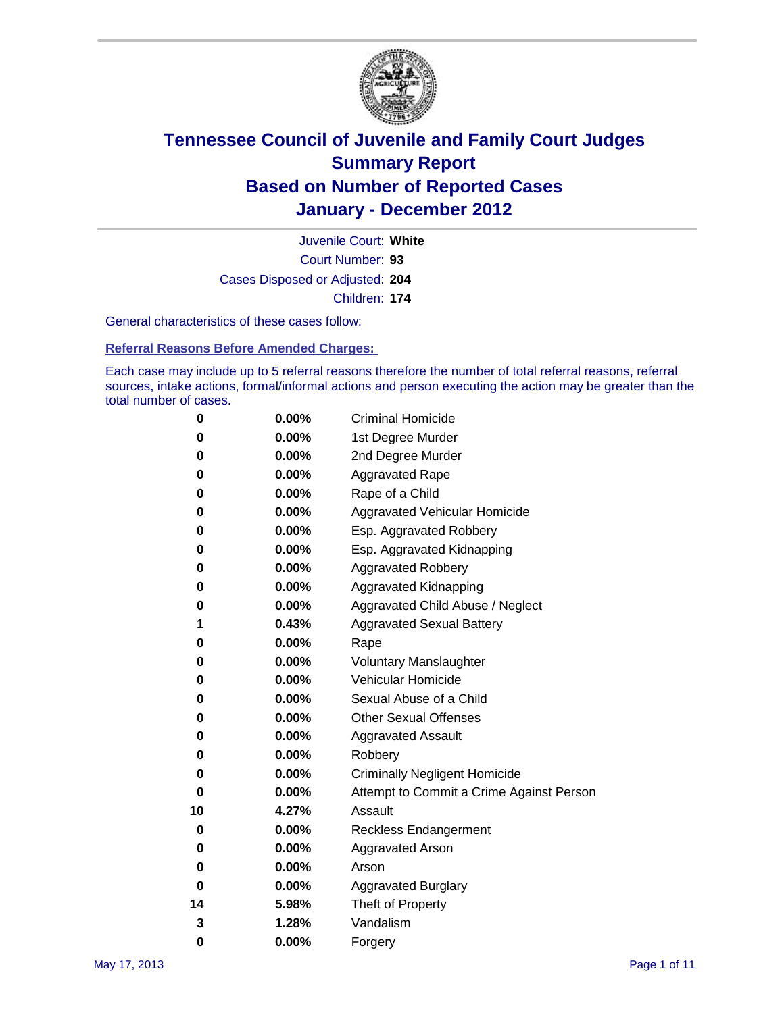

Court Number: **93** Juvenile Court: **White** Cases Disposed or Adjusted: **204** Children: **174**

General characteristics of these cases follow:

**Referral Reasons Before Amended Charges:** 

Each case may include up to 5 referral reasons therefore the number of total referral reasons, referral sources, intake actions, formal/informal actions and person executing the action may be greater than the total number of cases.

| 0  | 0.00%    | <b>Criminal Homicide</b>                 |
|----|----------|------------------------------------------|
| 0  | 0.00%    | 1st Degree Murder                        |
| 0  | 0.00%    | 2nd Degree Murder                        |
| 0  | 0.00%    | <b>Aggravated Rape</b>                   |
| 0  | 0.00%    | Rape of a Child                          |
| 0  | 0.00%    | Aggravated Vehicular Homicide            |
| 0  | 0.00%    | Esp. Aggravated Robbery                  |
| 0  | 0.00%    | Esp. Aggravated Kidnapping               |
| 0  | 0.00%    | <b>Aggravated Robbery</b>                |
| 0  | 0.00%    | Aggravated Kidnapping                    |
| 0  | 0.00%    | Aggravated Child Abuse / Neglect         |
| 1  | 0.43%    | <b>Aggravated Sexual Battery</b>         |
| 0  | 0.00%    | Rape                                     |
| 0  | $0.00\%$ | <b>Voluntary Manslaughter</b>            |
| 0  | 0.00%    | Vehicular Homicide                       |
| 0  | 0.00%    | Sexual Abuse of a Child                  |
| 0  | 0.00%    | <b>Other Sexual Offenses</b>             |
| 0  | 0.00%    | <b>Aggravated Assault</b>                |
| 0  | $0.00\%$ | Robbery                                  |
| 0  | 0.00%    | <b>Criminally Negligent Homicide</b>     |
| 0  | 0.00%    | Attempt to Commit a Crime Against Person |
| 10 | 4.27%    | Assault                                  |
| 0  | 0.00%    | <b>Reckless Endangerment</b>             |
| 0  | 0.00%    | <b>Aggravated Arson</b>                  |
| 0  | 0.00%    | Arson                                    |
| 0  | 0.00%    | <b>Aggravated Burglary</b>               |
| 14 | 5.98%    | Theft of Property                        |
| 3  | 1.28%    | Vandalism                                |
| 0  | 0.00%    | Forgery                                  |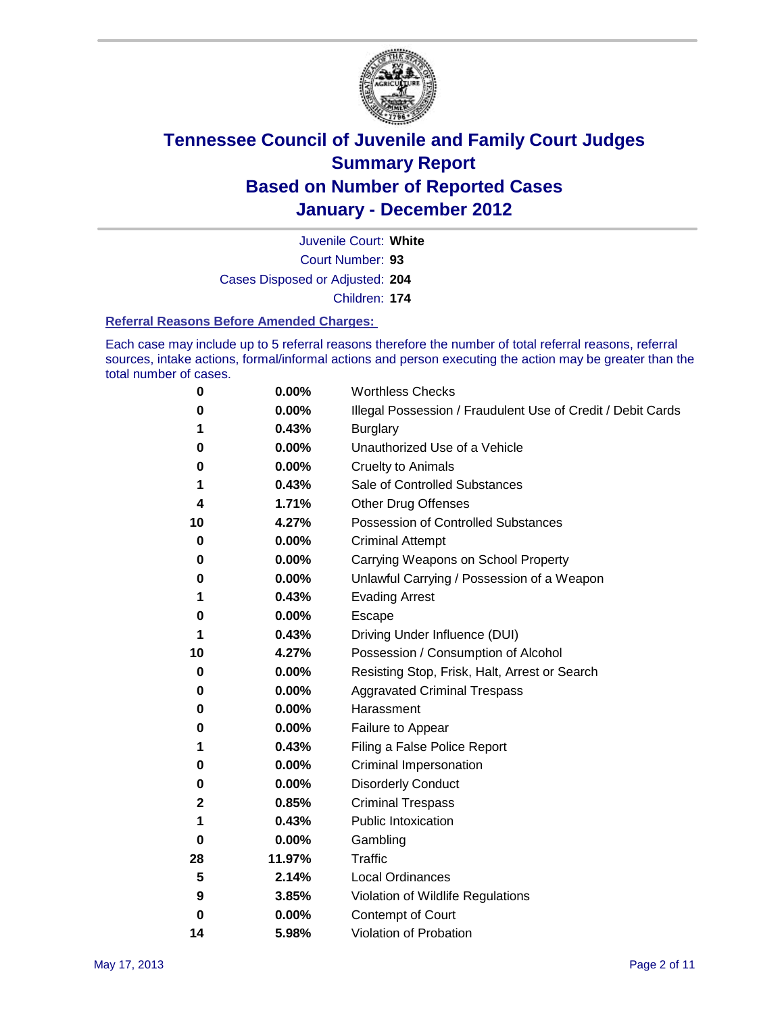

Court Number: **93** Juvenile Court: **White** Cases Disposed or Adjusted: **204** Children: **174**

### **Referral Reasons Before Amended Charges:**

Each case may include up to 5 referral reasons therefore the number of total referral reasons, referral sources, intake actions, formal/informal actions and person executing the action may be greater than the total number of cases.

| 0        | 0.00%  | <b>Worthless Checks</b>                                     |
|----------|--------|-------------------------------------------------------------|
| 0        | 0.00%  | Illegal Possession / Fraudulent Use of Credit / Debit Cards |
| 1        | 0.43%  | <b>Burglary</b>                                             |
| 0        | 0.00%  | Unauthorized Use of a Vehicle                               |
| 0        | 0.00%  | <b>Cruelty to Animals</b>                                   |
| 1        | 0.43%  | Sale of Controlled Substances                               |
| 4        | 1.71%  | <b>Other Drug Offenses</b>                                  |
| 10       | 4.27%  | Possession of Controlled Substances                         |
| 0        | 0.00%  | <b>Criminal Attempt</b>                                     |
| 0        | 0.00%  | Carrying Weapons on School Property                         |
| 0        | 0.00%  | Unlawful Carrying / Possession of a Weapon                  |
| 1        | 0.43%  | <b>Evading Arrest</b>                                       |
| 0        | 0.00%  | Escape                                                      |
| 1        | 0.43%  | Driving Under Influence (DUI)                               |
| 10       | 4.27%  | Possession / Consumption of Alcohol                         |
| 0        | 0.00%  | Resisting Stop, Frisk, Halt, Arrest or Search               |
| 0        | 0.00%  | <b>Aggravated Criminal Trespass</b>                         |
| 0        | 0.00%  | Harassment                                                  |
| 0        | 0.00%  | Failure to Appear                                           |
| 1        | 0.43%  | Filing a False Police Report                                |
| 0        | 0.00%  | Criminal Impersonation                                      |
| 0        | 0.00%  | <b>Disorderly Conduct</b>                                   |
| 2        | 0.85%  | <b>Criminal Trespass</b>                                    |
| 1        | 0.43%  | <b>Public Intoxication</b>                                  |
| 0        | 0.00%  | Gambling                                                    |
| 28       | 11.97% | Traffic                                                     |
| 5        | 2.14%  | <b>Local Ordinances</b>                                     |
| 9        | 3.85%  | Violation of Wildlife Regulations                           |
| $\bf{0}$ | 0.00%  | Contempt of Court                                           |
| 14       | 5.98%  | Violation of Probation                                      |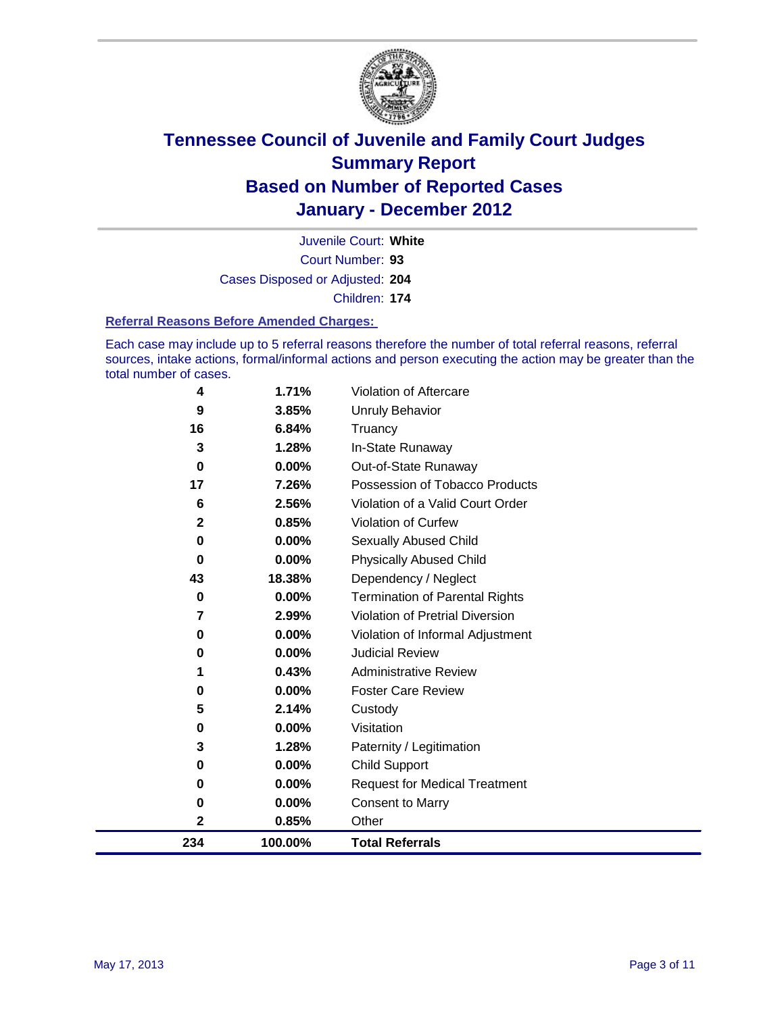

Court Number: **93** Juvenile Court: **White** Cases Disposed or Adjusted: **204** Children: **174**

### **Referral Reasons Before Amended Charges:**

Each case may include up to 5 referral reasons therefore the number of total referral reasons, referral sources, intake actions, formal/informal actions and person executing the action may be greater than the total number of cases.

| 234          | 100.00%        | <b>Total Referrals</b>                                 |
|--------------|----------------|--------------------------------------------------------|
| $\mathbf 2$  | 0.85%          | Other                                                  |
| 0            | 0.00%          | <b>Consent to Marry</b>                                |
| $\bf{0}$     | $0.00\%$       | <b>Request for Medical Treatment</b>                   |
| 0            | 0.00%          | <b>Child Support</b>                                   |
| 3            | 1.28%          | Paternity / Legitimation                               |
| 0            | $0.00\%$       | Visitation                                             |
| 5            | 2.14%          | Custody                                                |
| 0            | $0.00\%$       | <b>Foster Care Review</b>                              |
| 1            | 0.43%          | <b>Administrative Review</b>                           |
| 0            | $0.00\%$       | <b>Judicial Review</b>                                 |
| 0            | 0.00%          | Violation of Informal Adjustment                       |
| 7            | 2.99%          | <b>Violation of Pretrial Diversion</b>                 |
| 0            | 0.00%          | <b>Termination of Parental Rights</b>                  |
| 43           | 18.38%         | Dependency / Neglect                                   |
| 0            | 0.00%          | <b>Physically Abused Child</b>                         |
| 0            | $0.00\%$       | Sexually Abused Child                                  |
| $\mathbf{2}$ | 0.85%          | Violation of Curfew                                    |
| 17<br>6      | 7.26%<br>2.56% | Violation of a Valid Court Order                       |
| $\bf{0}$     | 0.00%          | Out-of-State Runaway<br>Possession of Tobacco Products |
| 3            | 1.28%          | In-State Runaway                                       |
| 16           | 6.84%          | Truancy                                                |
| 9            | 3.85%          | Unruly Behavior                                        |
| 4            | 1.71%          | Violation of Aftercare                                 |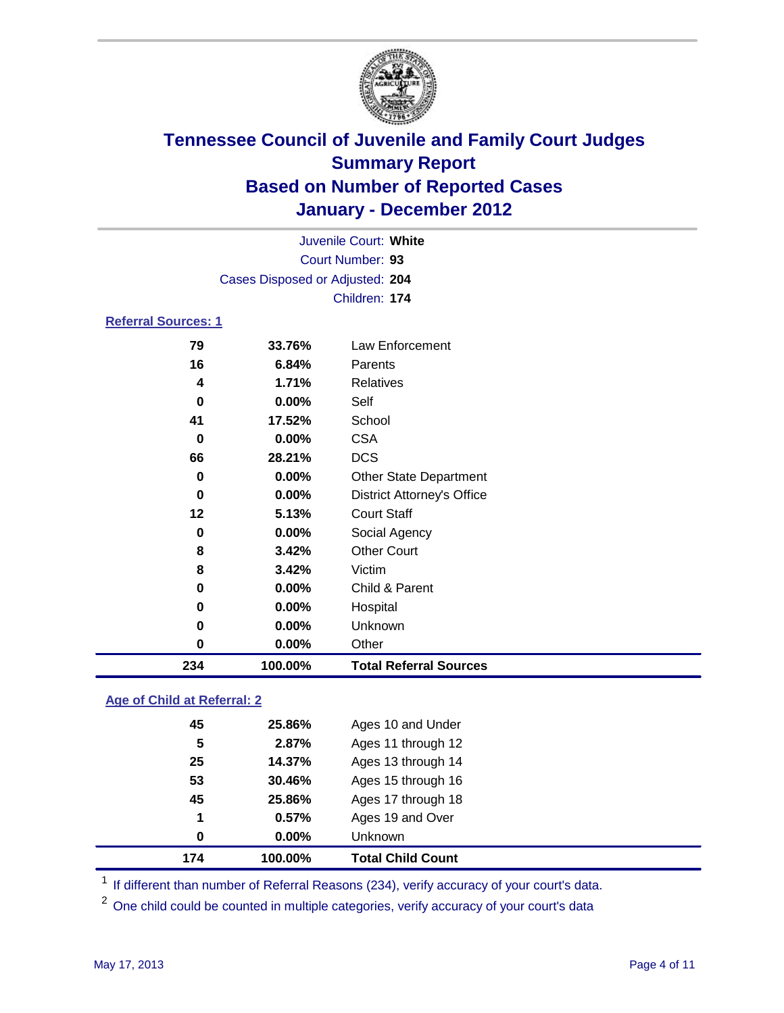

|                            |                                 | Juvenile Court: White             |
|----------------------------|---------------------------------|-----------------------------------|
|                            |                                 | Court Number: 93                  |
|                            | Cases Disposed or Adjusted: 204 |                                   |
|                            |                                 | Children: 174                     |
| <b>Referral Sources: 1</b> |                                 |                                   |
| 79                         | 33.76%                          | Law Enforcement                   |
| 16                         | 6.84%                           | Parents                           |
| 4                          | 1.71%                           | Relatives                         |
| 0                          | $0.00\%$                        | Self                              |
| 41                         | 17.52%                          | School                            |
| 0                          | $0.00\%$                        | <b>CSA</b>                        |
| 66                         | 28.21%                          | <b>DCS</b>                        |
| 0                          | $0.00\%$                        | <b>Other State Department</b>     |
| 0                          | 0.00%                           | <b>District Attorney's Office</b> |
| 12                         | 5.13%                           | <b>Court Staff</b>                |
| 0                          | 0.00%                           | Social Agency                     |
| 8                          | 3.42%                           | <b>Other Court</b>                |
| 8                          | 3.42%                           | Victim                            |
| 0                          | 0.00%                           | Child & Parent                    |
| 0                          | 0.00%                           | Hospital                          |
| $\bf{0}$                   | 0.00%                           | Unknown                           |
| 0                          | 0.00%                           | Other                             |
| 234                        | 100.00%                         | <b>Total Referral Sources</b>     |

### **Age of Child at Referral: 2**

| 174 | 100.00%  | <b>Total Child Count</b> |
|-----|----------|--------------------------|
| 0   | $0.00\%$ | <b>Unknown</b>           |
| 1   | 0.57%    | Ages 19 and Over         |
| 45  | 25.86%   | Ages 17 through 18       |
| 53  | 30.46%   | Ages 15 through 16       |
| 25  | 14.37%   | Ages 13 through 14       |
| 5   | 2.87%    | Ages 11 through 12       |
| 45  | 25.86%   | Ages 10 and Under        |
|     |          |                          |

<sup>1</sup> If different than number of Referral Reasons (234), verify accuracy of your court's data.

<sup>2</sup> One child could be counted in multiple categories, verify accuracy of your court's data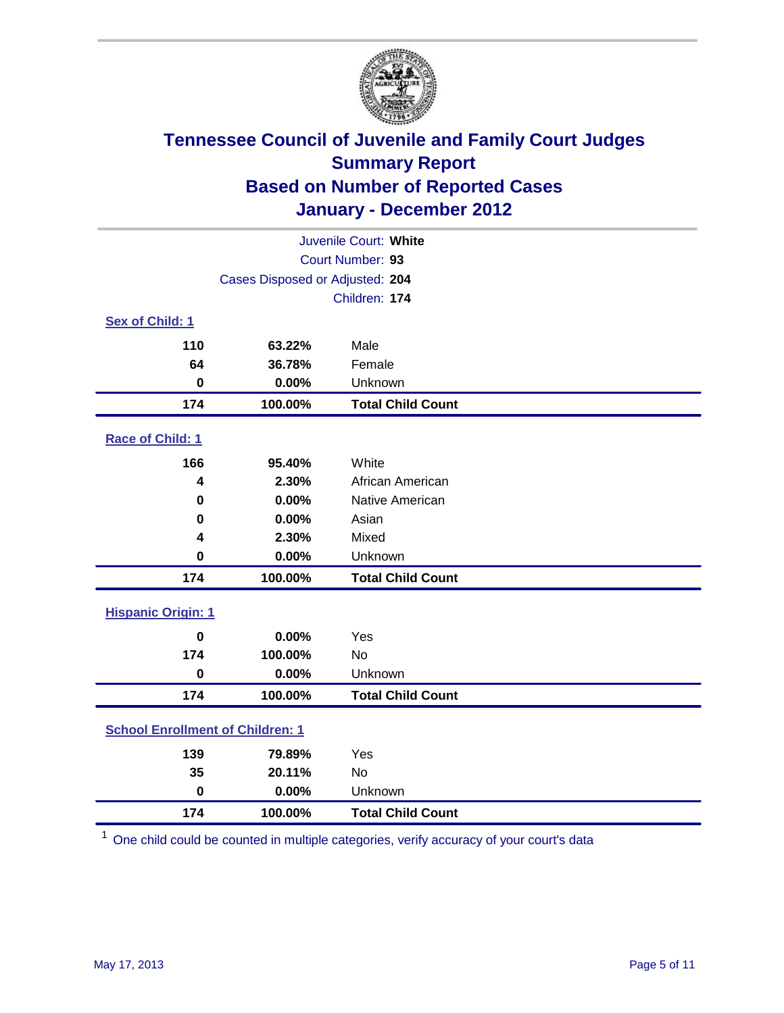

| Juvenile Court: White                   |                                 |                          |  |  |
|-----------------------------------------|---------------------------------|--------------------------|--|--|
| Court Number: 93                        |                                 |                          |  |  |
|                                         | Cases Disposed or Adjusted: 204 |                          |  |  |
|                                         |                                 | Children: 174            |  |  |
| Sex of Child: 1                         |                                 |                          |  |  |
| 110                                     | 63.22%                          | Male                     |  |  |
| 64                                      | 36.78%                          | Female                   |  |  |
| $\bf{0}$                                | 0.00%                           | Unknown                  |  |  |
| 174                                     | 100.00%                         | <b>Total Child Count</b> |  |  |
| Race of Child: 1                        |                                 |                          |  |  |
| 166                                     | 95.40%                          | White                    |  |  |
| 4                                       | 2.30%                           | African American         |  |  |
| 0                                       | 0.00%                           | Native American          |  |  |
| 0                                       | 0.00%                           | Asian                    |  |  |
| 4                                       | 2.30%                           | Mixed                    |  |  |
| $\mathbf 0$                             | 0.00%                           | Unknown                  |  |  |
| 174                                     | 100.00%                         | <b>Total Child Count</b> |  |  |
| <b>Hispanic Origin: 1</b>               |                                 |                          |  |  |
| $\mathbf 0$                             | 0.00%                           | Yes                      |  |  |
| 174                                     | 100.00%                         | <b>No</b>                |  |  |
| $\mathbf 0$                             | 0.00%                           | Unknown                  |  |  |
| 174                                     | 100.00%                         | <b>Total Child Count</b> |  |  |
| <b>School Enrollment of Children: 1</b> |                                 |                          |  |  |
| 139                                     | 79.89%                          | Yes                      |  |  |
| 35                                      | 20.11%                          | No                       |  |  |
| $\mathbf 0$                             | 0.00%                           | Unknown                  |  |  |
| 174                                     | 100.00%                         | <b>Total Child Count</b> |  |  |

One child could be counted in multiple categories, verify accuracy of your court's data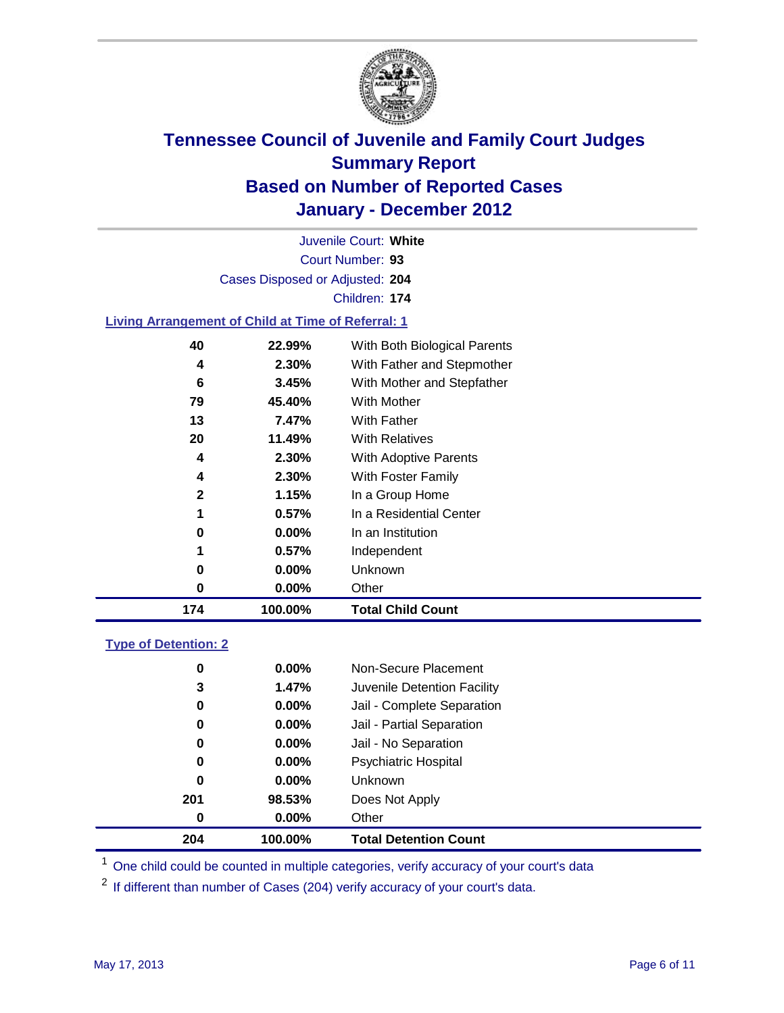

Court Number: **93** Juvenile Court: **White** Cases Disposed or Adjusted: **204** Children: **174**

### **Living Arrangement of Child at Time of Referral: 1**

| 174 | 100.00%  | <b>Total Child Count</b>     |
|-----|----------|------------------------------|
| 0   | 0.00%    | Other                        |
| 0   | 0.00%    | Unknown                      |
| 1   | $0.57\%$ | Independent                  |
| 0   | 0.00%    | In an Institution            |
| 1   | $0.57\%$ | In a Residential Center      |
| 2   | 1.15%    | In a Group Home              |
| 4   | 2.30%    | With Foster Family           |
| 4   | 2.30%    | With Adoptive Parents        |
| 20  | 11.49%   | <b>With Relatives</b>        |
| 13  | 7.47%    | With Father                  |
| 79  | 45.40%   | <b>With Mother</b>           |
| 6   | 3.45%    | With Mother and Stepfather   |
| 4   | 2.30%    | With Father and Stepmother   |
| 40  | 22.99%   | With Both Biological Parents |
|     |          |                              |

### **Type of Detention: 2**

| 204      | 100.00%  | <b>Total Detention Count</b> |  |
|----------|----------|------------------------------|--|
| 0        | $0.00\%$ | Other                        |  |
| 201      | 98.53%   | Does Not Apply               |  |
| $\bf{0}$ | $0.00\%$ | Unknown                      |  |
| 0        | $0.00\%$ | <b>Psychiatric Hospital</b>  |  |
| 0        | 0.00%    | Jail - No Separation         |  |
| 0        | $0.00\%$ | Jail - Partial Separation    |  |
| 0        | $0.00\%$ | Jail - Complete Separation   |  |
| 3        | 1.47%    | Juvenile Detention Facility  |  |
| 0        | $0.00\%$ | Non-Secure Placement         |  |
|          |          |                              |  |

<sup>1</sup> One child could be counted in multiple categories, verify accuracy of your court's data

<sup>2</sup> If different than number of Cases (204) verify accuracy of your court's data.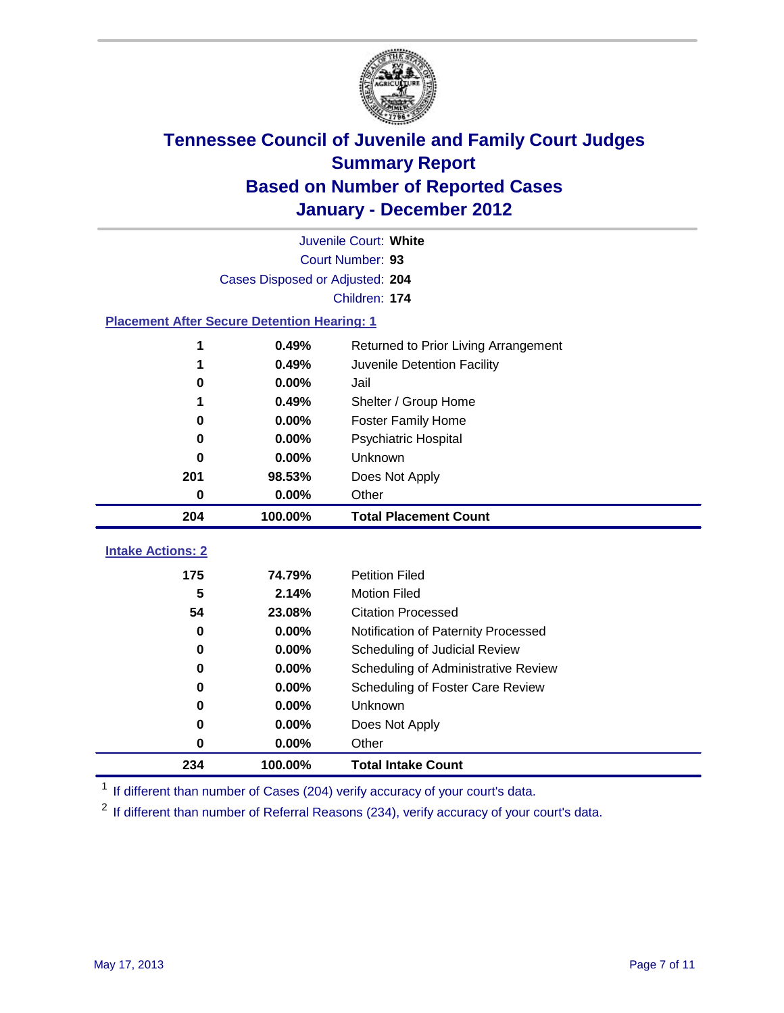

|                                                    | Juvenile Court: White           |                                      |  |  |  |
|----------------------------------------------------|---------------------------------|--------------------------------------|--|--|--|
|                                                    | Court Number: 93                |                                      |  |  |  |
|                                                    | Cases Disposed or Adjusted: 204 |                                      |  |  |  |
|                                                    | Children: 174                   |                                      |  |  |  |
| <b>Placement After Secure Detention Hearing: 1</b> |                                 |                                      |  |  |  |
| 1                                                  | 0.49%                           | Returned to Prior Living Arrangement |  |  |  |
| 1                                                  | 0.49%                           | Juvenile Detention Facility          |  |  |  |
| 0                                                  | 0.00%                           | Jail                                 |  |  |  |
|                                                    | 0.49%                           | Shelter / Group Home                 |  |  |  |
| $\bf{0}$                                           | 0.00%                           | <b>Foster Family Home</b>            |  |  |  |
| 0                                                  | 0.00%                           | Psychiatric Hospital                 |  |  |  |
| 0                                                  | 0.00%                           | Unknown                              |  |  |  |
| 201                                                | 98.53%                          | Does Not Apply                       |  |  |  |
| $\bf{0}$                                           | $0.00\%$                        | Other                                |  |  |  |
| 204                                                | 100.00%                         | <b>Total Placement Count</b>         |  |  |  |
|                                                    |                                 |                                      |  |  |  |
| <b>Intake Actions: 2</b>                           |                                 |                                      |  |  |  |
| 175                                                | 74.79%                          | <b>Petition Filed</b>                |  |  |  |
| 5                                                  | 2.14%                           | <b>Motion Filed</b>                  |  |  |  |
| 54                                                 | 23.08%                          | <b>Citation Processed</b>            |  |  |  |
| 0                                                  | 0.00%                           | Notification of Paternity Processed  |  |  |  |
| $\mathbf 0$                                        | 0.00%                           | Scheduling of Judicial Review        |  |  |  |
| $\bf{0}$                                           | 0.00%                           | Scheduling of Administrative Review  |  |  |  |
| 0                                                  | 0.00%                           | Scheduling of Foster Care Review     |  |  |  |
| 0                                                  | 0.00%                           | Unknown                              |  |  |  |
| 0                                                  | 0.00%                           | Does Not Apply                       |  |  |  |
| 0                                                  | 0.00%                           | Other                                |  |  |  |
| 234                                                | 100.00%                         | <b>Total Intake Count</b>            |  |  |  |

<sup>1</sup> If different than number of Cases (204) verify accuracy of your court's data.

<sup>2</sup> If different than number of Referral Reasons (234), verify accuracy of your court's data.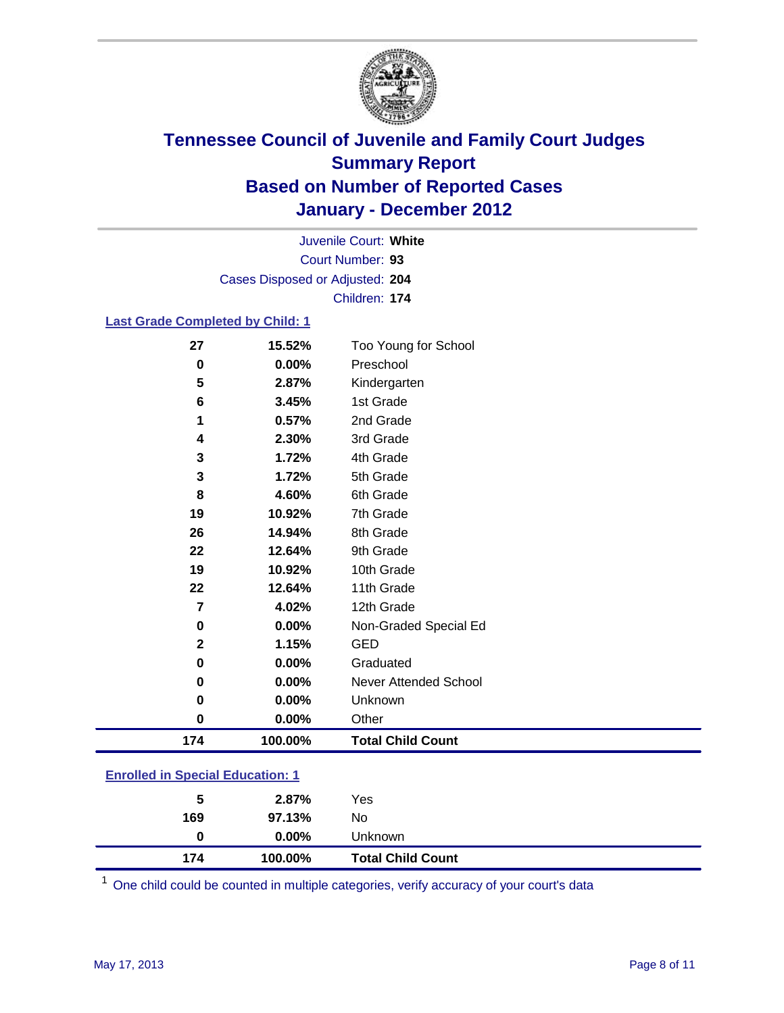

Court Number: **93** Juvenile Court: **White** Cases Disposed or Adjusted: **204** Children: **174**

### **Last Grade Completed by Child: 1**

| 27                                      | 15.52%  | Too Young for School         |  |
|-----------------------------------------|---------|------------------------------|--|
| 0                                       | 0.00%   | Preschool                    |  |
| 5                                       | 2.87%   | Kindergarten                 |  |
| 6                                       | 3.45%   | 1st Grade                    |  |
| 1                                       | 0.57%   | 2nd Grade                    |  |
| 4                                       | 2.30%   | 3rd Grade                    |  |
| 3                                       | 1.72%   | 4th Grade                    |  |
| 3                                       | 1.72%   | 5th Grade                    |  |
| 8                                       | 4.60%   | 6th Grade                    |  |
| 19                                      | 10.92%  | 7th Grade                    |  |
| 26                                      | 14.94%  | 8th Grade                    |  |
| 22                                      | 12.64%  | 9th Grade                    |  |
| 19                                      | 10.92%  | 10th Grade                   |  |
| 22                                      | 12.64%  | 11th Grade                   |  |
| $\overline{7}$                          | 4.02%   | 12th Grade                   |  |
| 0                                       | 0.00%   | Non-Graded Special Ed        |  |
| $\overline{2}$                          | 1.15%   | <b>GED</b>                   |  |
| 0                                       | 0.00%   | Graduated                    |  |
| 0                                       | 0.00%   | <b>Never Attended School</b> |  |
| 0                                       | 0.00%   | Unknown                      |  |
| $\mathbf 0$                             | 0.00%   | Other                        |  |
| 174                                     | 100.00% | <b>Total Child Count</b>     |  |
| <b>Enrolled in Special Education: 1</b> |         |                              |  |

| 174                                       | 100.00%  | <b>Total Child Count</b> |  |  |
|-------------------------------------------|----------|--------------------------|--|--|
| $\bf{0}$                                  | $0.00\%$ | <b>Unknown</b>           |  |  |
| 169                                       | 97.13%   | No                       |  |  |
| 5                                         | 2.87%    | Yes                      |  |  |
| <u>Einvilled in Opcolar Eugeneinen. I</u> |          |                          |  |  |

One child could be counted in multiple categories, verify accuracy of your court's data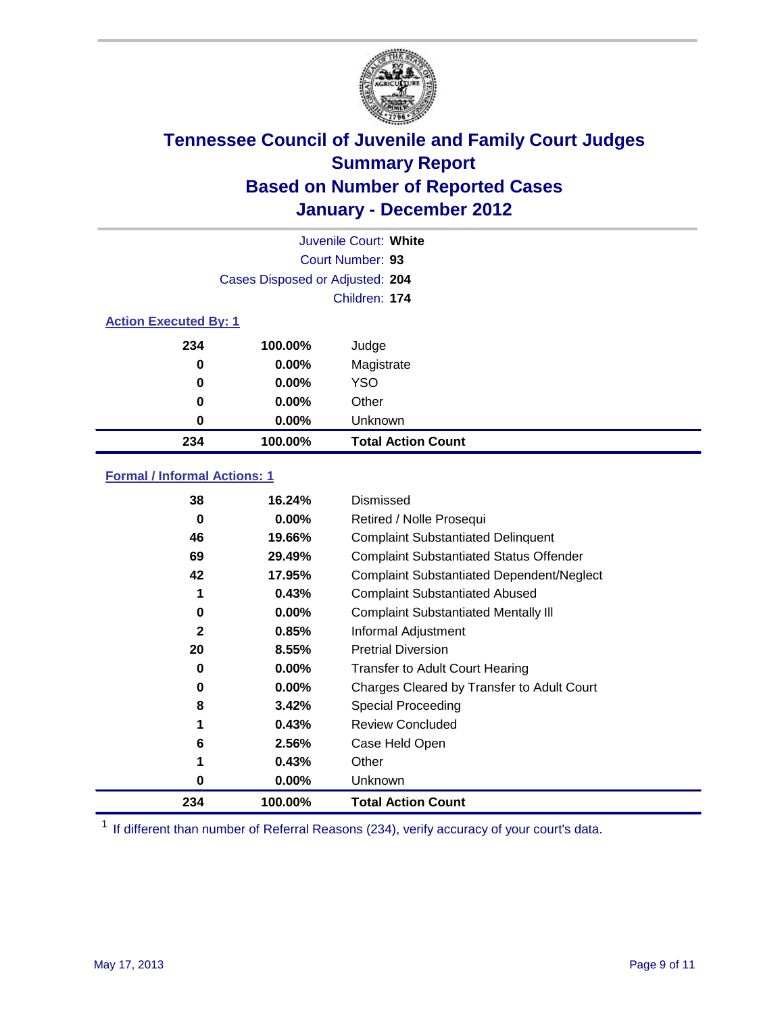

|                              | Juvenile Court: White           |                           |  |  |  |
|------------------------------|---------------------------------|---------------------------|--|--|--|
| Court Number: 93             |                                 |                           |  |  |  |
|                              | Cases Disposed or Adjusted: 204 |                           |  |  |  |
|                              |                                 | Children: 174             |  |  |  |
| <b>Action Executed By: 1</b> |                                 |                           |  |  |  |
| 234                          | 100.00%                         | Judge                     |  |  |  |
| 0                            | $0.00\%$                        | Magistrate                |  |  |  |
| 0                            | $0.00\%$                        | <b>YSO</b>                |  |  |  |
| 0                            | 0.00%                           | Other                     |  |  |  |
| 0                            | 0.00%                           | Unknown                   |  |  |  |
| 234                          | 100.00%                         | <b>Total Action Count</b> |  |  |  |

### **Formal / Informal Actions: 1**

| 38           | 16.24%   | Dismissed                                        |
|--------------|----------|--------------------------------------------------|
| 0            | $0.00\%$ | Retired / Nolle Prosequi                         |
| 46           | 19.66%   | <b>Complaint Substantiated Delinquent</b>        |
| 69           | 29.49%   | <b>Complaint Substantiated Status Offender</b>   |
| 42           | 17.95%   | <b>Complaint Substantiated Dependent/Neglect</b> |
| 1            | 0.43%    | <b>Complaint Substantiated Abused</b>            |
| 0            | $0.00\%$ | <b>Complaint Substantiated Mentally III</b>      |
| $\mathbf{2}$ | 0.85%    | Informal Adjustment                              |
| 20           | 8.55%    | <b>Pretrial Diversion</b>                        |
| 0            | $0.00\%$ | <b>Transfer to Adult Court Hearing</b>           |
| 0            | $0.00\%$ | Charges Cleared by Transfer to Adult Court       |
| 8            | 3.42%    | <b>Special Proceeding</b>                        |
| 1            | 0.43%    | <b>Review Concluded</b>                          |
| 6            | 2.56%    | Case Held Open                                   |
| 1            | 0.43%    | Other                                            |
| 0            | $0.00\%$ | <b>Unknown</b>                                   |
| 234          | 100.00%  | <b>Total Action Count</b>                        |

<sup>1</sup> If different than number of Referral Reasons (234), verify accuracy of your court's data.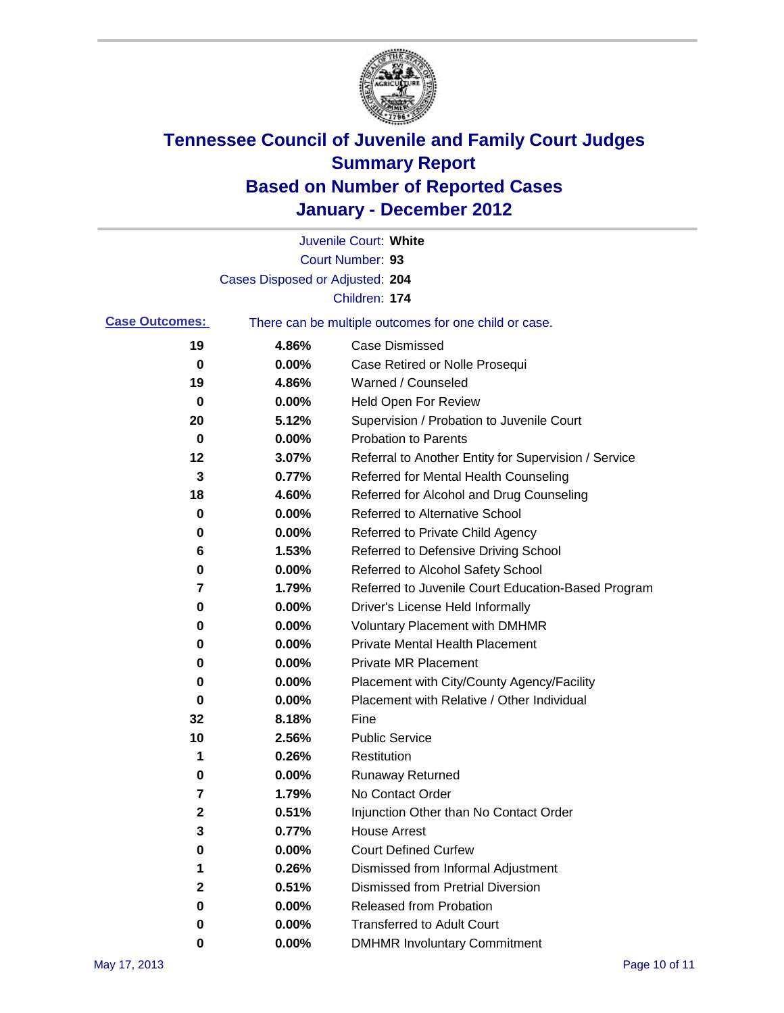

|                       |                                 | Juvenile Court: White                                 |
|-----------------------|---------------------------------|-------------------------------------------------------|
|                       |                                 | Court Number: 93                                      |
|                       | Cases Disposed or Adjusted: 204 |                                                       |
|                       |                                 | Children: 174                                         |
| <b>Case Outcomes:</b> |                                 | There can be multiple outcomes for one child or case. |
| 19                    | 4.86%                           | <b>Case Dismissed</b>                                 |
| 0                     | 0.00%                           | Case Retired or Nolle Prosequi                        |
| 19                    | 4.86%                           | Warned / Counseled                                    |
| 0                     | 0.00%                           | <b>Held Open For Review</b>                           |
| 20                    | 5.12%                           | Supervision / Probation to Juvenile Court             |
| 0                     | 0.00%                           | <b>Probation to Parents</b>                           |
| 12                    | 3.07%                           | Referral to Another Entity for Supervision / Service  |
| 3                     | 0.77%                           | Referred for Mental Health Counseling                 |
| 18                    | 4.60%                           | Referred for Alcohol and Drug Counseling              |
| 0                     | 0.00%                           | <b>Referred to Alternative School</b>                 |
| 0                     | 0.00%                           | Referred to Private Child Agency                      |
| 6                     | 1.53%                           | Referred to Defensive Driving School                  |
| 0                     | 0.00%                           | Referred to Alcohol Safety School                     |
| 7                     | 1.79%                           | Referred to Juvenile Court Education-Based Program    |
| 0                     | 0.00%                           | Driver's License Held Informally                      |
| 0                     | 0.00%                           | <b>Voluntary Placement with DMHMR</b>                 |
| 0                     | 0.00%                           | <b>Private Mental Health Placement</b>                |
| 0                     | 0.00%                           | <b>Private MR Placement</b>                           |
| 0                     | 0.00%                           | Placement with City/County Agency/Facility            |
| 0                     | 0.00%                           | Placement with Relative / Other Individual            |
| 32                    | 8.18%                           | Fine                                                  |
| 10                    | 2.56%                           | <b>Public Service</b>                                 |
| 1                     | 0.26%                           | Restitution                                           |
| 0                     | 0.00%                           | <b>Runaway Returned</b>                               |
| 7                     | 1.79%                           | No Contact Order                                      |
| 2                     | 0.51%                           | Injunction Other than No Contact Order                |
| 3                     | 0.77%                           | <b>House Arrest</b>                                   |
| 0                     | 0.00%                           | <b>Court Defined Curfew</b>                           |
| 1                     | 0.26%                           | Dismissed from Informal Adjustment                    |
| 2                     | 0.51%                           | <b>Dismissed from Pretrial Diversion</b>              |
| 0                     | 0.00%                           | Released from Probation                               |
| 0                     | 0.00%                           | <b>Transferred to Adult Court</b>                     |
| 0                     | $0.00\%$                        | <b>DMHMR Involuntary Commitment</b>                   |